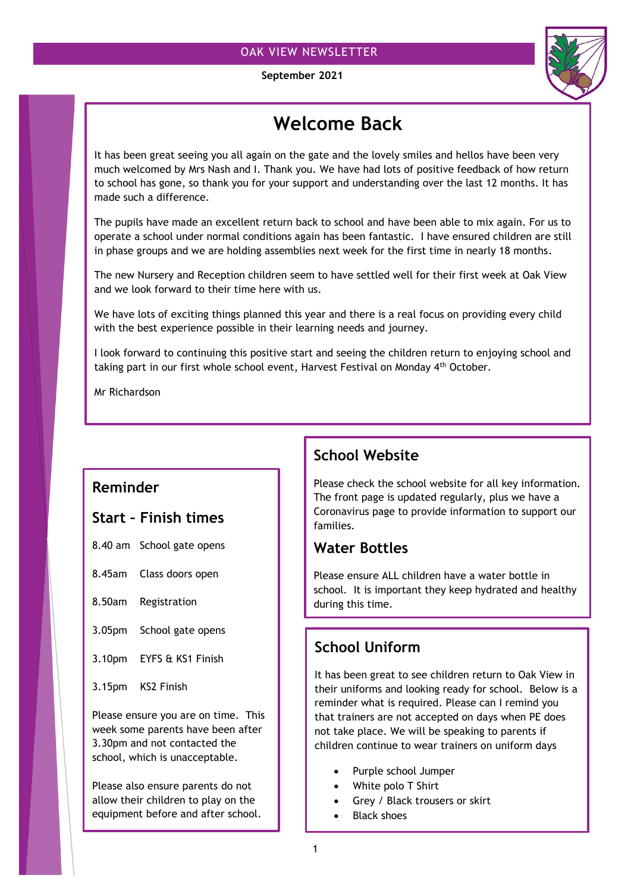### OAK VIEW NEWSLETTER

 **September 2021**



# **Welcome Back**

It has been great seeing you all again on the gate and the lovely smiles and hellos have been very much welcomed by Mrs Nash and I. Thank you. We have had lots of positive feedback of how return to school has gone, so thank you for your support and understanding over the last 12 months. It has made such a difference.

The pupils have made an excellent return back to school and have been able to mix again. For us to operate a school under normal conditions again has been fantastic. I have ensured children are still in phase groups and we are holding assemblies next week for the first time in nearly 18 months.

The new Nursery and Reception children seem to have settled well for their first week at Oak View and we look forward to their time here with us.

We have lots of exciting things planned this year and there is a real focus on providing every child with the best experience possible in their learning needs and journey.

I look forward to continuing this positive start and seeing the children return to enjoying school and taking part in our first whole school event, Harvest Festival on Monday 4<sup>th</sup> October.

Mr Richardson

### **Reminder**

### **Start – Finish times**

- 8.40 am School gate opens
- 8.45am Class doors open
- 8.50am Registration
- 3.05pm School gate opens
- 3.10pm EYFS & KS1 Finish
- 3.15pm KS2 Finish

Please ensure you are on time. This week some parents have been after 3.30pm and not contacted the school, which is unacceptable.

Please also ensure parents do not allow their children to play on the equipment before and after school.

# **School Website**

Please check the school website for all key information. The front page is updated regularly, plus we have a Coronavirus page to provide information to support our families.

### **Water Bottles**

Please ensure ALL children have a water bottle in school. It is important they keep hydrated and healthy during this time.

# **School Uniform**

It has been great to see children return to Oak View in their uniforms and looking ready for school. Below is a reminder what is required. Please can I remind you that trainers are not accepted on days when PE does not take place. We will be speaking to parents if children continue to wear trainers on uniform days

- Purple school Jumper
- White polo T Shirt
- Grey / Black trousers or skirt
- Black shoes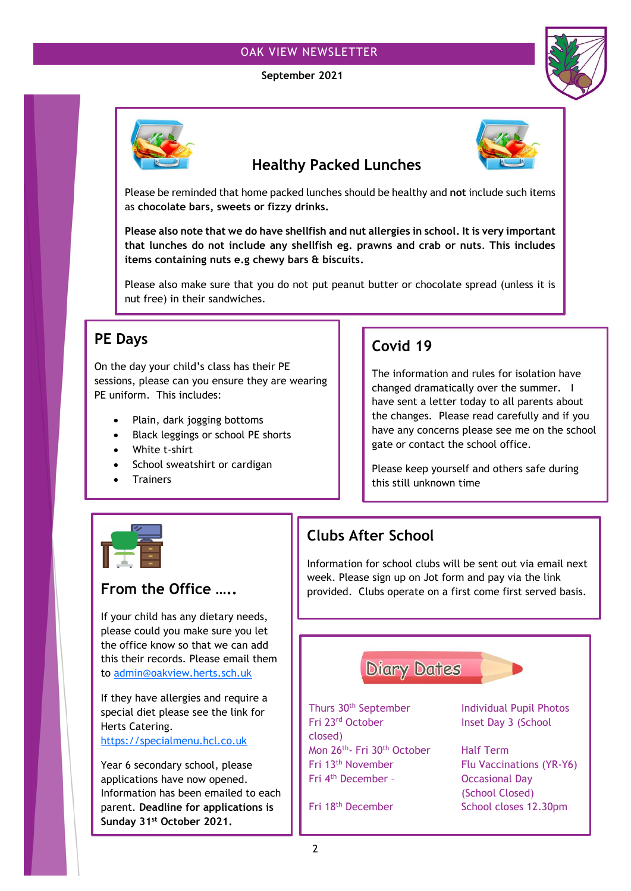### OAK VIEW NEWSLETTER

#### **September 2021**





### **Healthy Packed Lunches**



Please be reminded that home packed lunches should be healthy and **not** include such items as **chocolate bars, sweets or fizzy drinks.**

**Please also note that we do have shellfish and nut allergies in school. It is very important that lunches do not include any shellfish eg. prawns and crab or nuts**. **This includes items containing nuts e.g chewy bars & biscuits.**

Please also make sure that you do not put peanut butter or chocolate spread (unless it is nut free) in their sandwiches.

## **PE Days**

On the day your child's class has their PE sessions, please can you ensure they are wearing PE uniform. This includes:

- Plain, dark jogging bottoms
- Black leggings or school PE shorts
- White t-shirt
- School sweatshirt or cardigan
- **Trainers**

# **Covid 19**

The information and rules for isolation have changed dramatically over the summer. I have sent a letter today to all parents about the changes. Please read carefully and if you have any concerns please see me on the school gate or contact the school office.

Please keep yourself and others safe during this still unknown time



### **From the Office …..**

If your child has any dietary needs, please could you make sure you let the office know so that we can add this their records. Please email them to [admin@oakview.herts.sch.uk](mailto:admin@oakview.herts.sch.uk)

If they have allergies and require a special diet please see the link for Herts Catering.

[https://specialmenu.hcl.co.uk](https://specialmenu.hcl.co.uk/)

Year 6 secondary school, please applications have now opened. Information has been emailed to each parent. **Deadline for applications is Sunday 31st October 2021.**

# **Clubs After School**

Information for school clubs will be sent out via email next week. Please sign up on Jot form and pay via the link provided. Clubs operate on a first come first served basis.